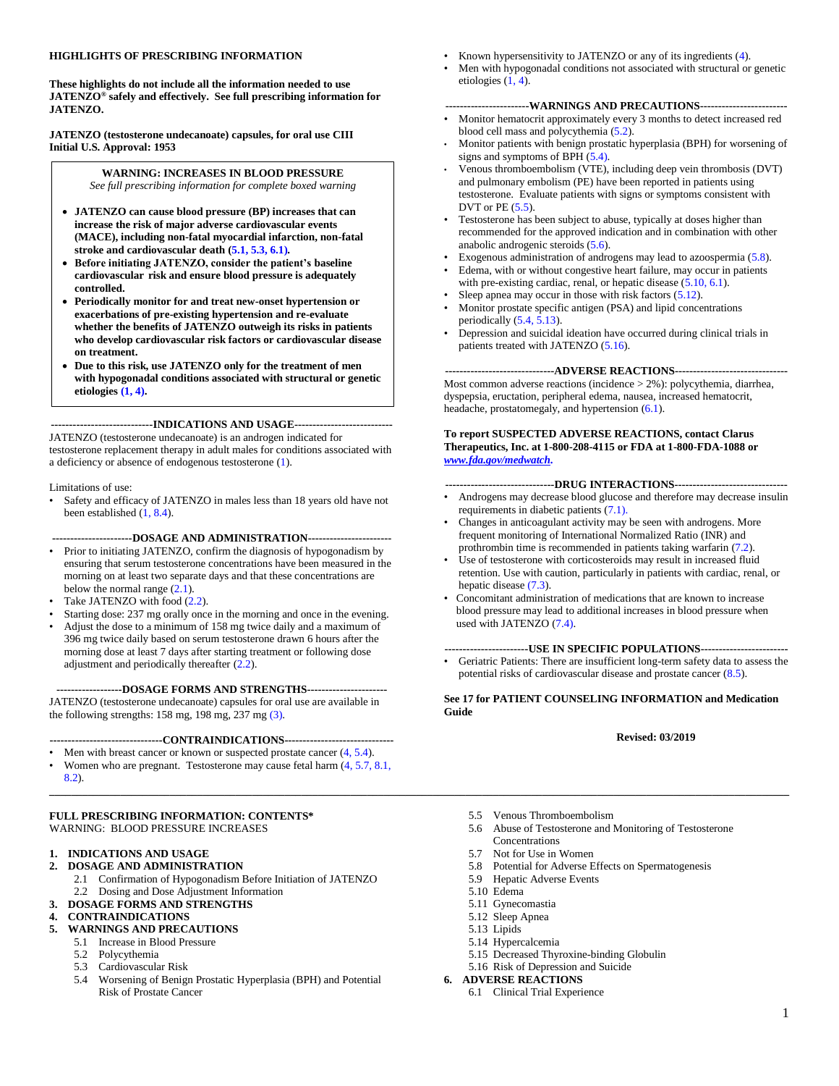#### **HIGHLIGHTS OF PRESCRIBING INFORMATION**

**These highlights do not include all the information needed to use JATENZO® safely and effectively. See full prescribing information for JATENZO.**

**JATENZO (testosterone undecanoate) capsules, for oral use CIII Initial U.S. Approval: 1953**

#### **WARNING: INCREASES IN BLOOD PRESSURE** *See full prescribing information for complete boxed warning*

- **JATENZO can cause blood pressure (BP) increases that can increase the risk of major adverse cardiovascular events (MACE), including non-fatal myocardial infarction, non-fatal stroke and cardiovascular death [\(5.1,](#page-4-0) [5.3,](#page-5-0) [6.1\)](#page-7-0)***.*
- **Before initiating JATENZO, consider the patient's baseline cardiovascular risk and ensure blood pressure is adequately controlled.**
- **Periodically monitor for and treat new-onset hypertension or exacerbations of pre-existing hypertension and re-evaluate whether the benefits of JATENZO outweigh its risks in patients who develop cardiovascular risk factors or cardiovascular disease on treatment.**
- **Due to this risk, use JATENZO only for the treatment of men with hypogonadal conditions associated with structural or genetic etiologies [\(1,](#page-2-0) [4\)](#page-4-0).**

**----------------------------INDICATIONS AND USAGE---------------------------**

JATENZO (testosterone undecanoate) is an androgen indicated for testosterone replacement therapy in adult males for conditions associated with a deficiency or absence of endogenous testosterone ([1\)](#page-2-0).

Limitations of use:

• Safety and efficacy of JATENZO in males less than 18 years old have not been established [\(1,](#page-2-0) [8.4\)](#page-10-0).

#### **----------------------DOSAGE AND ADMINISTRATION-----------------------**

- Prior to initiating JATENZO, confirm the diagnosis of hypogonadism by ensuring that serum testosterone concentrations have been measured in the morning on at least two separate days and that these concentrations are below the normal range  $(2.1)$ .
- Take JATENZO with food  $(2.2)$ .
- Starting dose: 237 mg orally once in the morning and once in the evening.
- Adjust the dose to a minimum of 158 mg twice daily and a maximum of 396 mg twice daily based on serum testosterone drawn 6 hours after the morning dose at least 7 days after starting treatment or following dose adjustment and periodically thereafter [\(2.2](#page-3-0)).

#### **------------------DOSAGE FORMS AND STRENGTHS----------------------**

JATENZO (testosterone undecanoate) capsules for oral use are available in the following strengths: 158 mg, 198 mg, 237 mg [\(3\)](#page-4-0).

#### **-------------------------------CONTRAINDICATIONS------------------------------**

- Men with breast cancer or known or suspected prostate cancer  $(4, 5.4)$  $(4, 5.4)$ .
- Women who are pregnant. Testosterone may cause fetal harm ([4,](#page-4-0) [5.7,](#page-6-0) [8.1,](#page-9-0)  [8.2\)](#page-10-0).

#### **FULL PRESCRIBING INFORMATION: CONTENTS\*** WARNING: BLOOD PRESSURE INCREASES

#### **1. INDICATIONS AND USAGE**

- **2. DOSAGE AND ADMINISTRATION**
	- 2.1 Confirmation of Hypogonadism Before Initiation of JATENZO
	- 2.2 Dosing and Dose Adjustment Information
- **3. DOSAGE FORMS AND STRENGTHS**
- **4. CONTRAINDICATIONS**

#### **5. WARNINGS AND PRECAUTIONS**

- 5.1 Increase in Blood Pressure
	- 5.2 Polycythemia
	- 5.3 Cardiovascular Risk
	- 5.4 Worsening of Benign Prostatic Hyperplasia (BPH) and Potential Risk of Prostate Cancer
- Known hypersensitivity to JATENZO or any of its ingredients ([4\)](#page-4-0).
- Men with hypogonadal conditions not associated with structural or genetic etiologies  $(1, 4)$  $(1, 4)$ .

#### **-----------------------WARNINGS AND PRECAUTIONS------------------------**

- Monitor hematocrit approximately every 3 months to detect increased red blood cell mass and polycythemia [\(5.2\)](#page-5-0).
- Monitor patients with benign prostatic hyperplasia (BPH) for worsening of signs and symptoms of BPH [\(5.4\)](#page-5-0).
- Venous thromboembolism (VTE), including deep vein thrombosis (DVT) and pulmonary embolism (PE) have been reported in patients using testosterone. Evaluate patients with signs or symptoms consistent with DVT or  $PE(5.5)$  $PE(5.5)$  $PE(5.5)$ .
- Testosterone has been subject to abuse, typically at doses higher than recommended for the approved indication and in combination with other anabolic androgenic steroids [\(5.6\)](#page-5-0).
- Exogenous administration of androgens may lead to azoospermia [\(5.8\)](#page-6-0).
- Edema, with or without congestive heart failure, may occur in patients with pre-existing cardiac, renal, or hepatic disease [\(5.10,](#page-6-0) [6.1](#page-7-0)).
- Sleep apnea may occur in those with risk factors ([5.12\)](#page-6-0).
- Monitor prostate specific antigen (PSA) and lipid concentrations periodically  $(5.4, 5.13)$  $(5.4, 5.13)$ .
- Depression and suicidal ideation have occurred during clinical trials in patients treated with JATENZO ([5.16\)](#page-7-0).

#### **------------------------------ADVERSE REACTIONS-------------------------------**

Most common adverse reactions (incidence > 2%): polycythemia, diarrhea, dyspepsia, eructation, peripheral edema, nausea, increased hematocrit, headache, prostatomegaly, and hypertension [\(6.1\)](#page-7-0).

#### **To report SUSPECTED ADVERSE REACTIONS, contact Clarus Therapeutics, Inc. at 1-800-208-4115 or FDA at 1-800-FDA-1088 or**  *www.fda.gov/medwatch.*

#### **------------------------------DRUG INTERACTIONS-------------------------------**

- Androgens may decrease blood glucose and therefore may decrease insulin requirements in diabetic patients [\(7.1\)](#page-9-0).
- Changes in anticoagulant activity may be seen with androgens. More frequent monitoring of International Normalized Ratio (INR) and prothrombin time is recommended in patients taking warfarin ([7.2\)](#page-9-0).
- Use of testosterone with corticosteroids may result in increased fluid retention. Use with caution, particularly in patients with cardiac, renal, or hepatic disease  $(7.3)$ .
- Concomitant administration of medications that are known to increase blood pressure may lead to additional increases in blood pressure when used with JATENZO [\(7.4\)](#page-9-0).

#### **-----------------------USE IN SPECIFIC POPULATIONS------------------------**

• Geriatric Patients: There are insufficient long-term safety data to assess the potential risks of cardiovascular disease and prostate cancer [\(8.5\)](#page-10-0).

#### **See 17 for PATIENT COUNSELING INFORMATION and Medication Guide**

#### **Revised: 03/2019**

- 5.5 Venous Thromboembolism
- 5.6 Abuse of Testosterone and Monitoring of Testosterone **Concentrations**
- 5.7 Not for Use in Women
- 5.8 Potential for Adverse Effects on Spermatogenesis
- 5.9 Hepatic Adverse Events
- 5.10 Edema

**\_\_\_\_\_\_\_\_\_\_\_\_\_\_\_\_\_\_\_\_\_\_\_\_\_\_\_\_\_\_\_\_\_\_\_\_\_\_\_\_\_\_\_\_\_\_\_\_\_\_\_\_\_\_\_\_\_\_\_\_\_\_\_\_\_\_\_\_\_\_\_\_\_\_\_\_\_\_\_\_\_\_\_\_\_\_\_\_\_\_\_\_\_\_\_\_\_\_\_\_\_\_\_\_\_\_\_\_\_\_\_\_\_\_\_\_\_\_\_\_\_\_\_\_\_\_\_\_\_\_\_\_\_\_\_**

- 5.11 Gynecomastia
- 5.12 Sleep Apnea
- 5.13 Lipids
- 5.14 Hypercalcemia
- 5.15 Decreased Thyroxine-binding Globulin
- 5.16 Risk of Depression and Suicide

#### **6. ADVERSE REACTIONS**

6.1 Clinical Trial Experience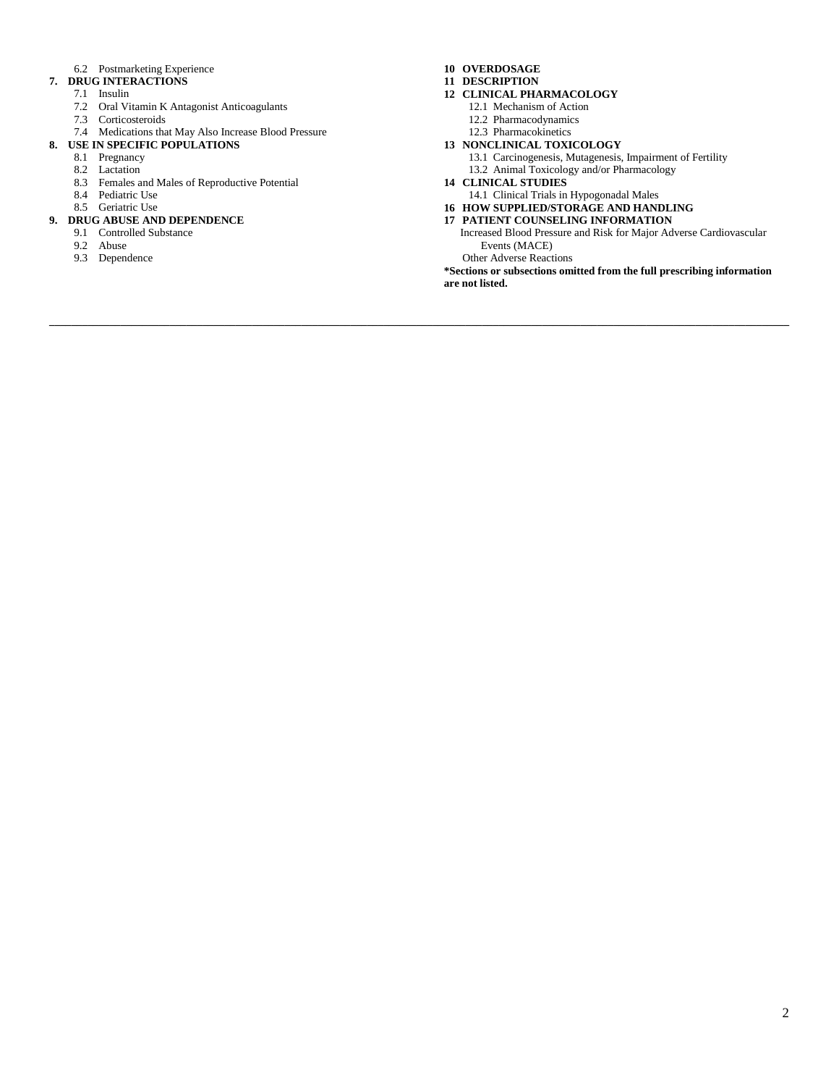#### 6.2 Postmarketing Experience

- **7. DRUG INTERACTIONS**
	- 7.1 Insulin
	- 7.2 Oral Vitamin K Antagonist Anticoagulants
	- 7.3 Corticosteroids

#### 7.4 Medications that May Also Increase Blood Pressure

- **8. USE IN SPECIFIC POPULATIONS**
	- 8.1 Pregnancy
	- 8.2 Lactation
	- 8.3 Females and Males of Reproductive Potential
	- 8.4 Pediatric Use
	- 8.5 Geriatric Use

#### **9. DRUG ABUSE AND DEPENDENCE**

- 9.1 Controlled Substance
- 9.2 Abuse
- 9.3 Dependence

#### **10 OVERDOSAGE**

- **11 DESCRIPTION**
- **12 CLINICAL PHARMACOLOGY**
	- 12.1 Mechanism of Action
	- 12.2 Pharmacodynamics
	- 12.3 Pharmacokinetics

#### **13 NONCLINICAL TOXICOLOGY**

- 13.1 Carcinogenesis, Mutagenesis, Impairment of Fertility
- 13.2 Animal Toxicology and/or Pharmacology

### **14 CLINICAL STUDIES**

- 14.1 Clinical Trials in Hypogonadal Males
- **16 HOW SUPPLIED/STORAGE AND HANDLING**
- **17 PATIENT COUNSELING INFORMATION**
- Increased Blood Pressure and Risk for Major Adverse Cardiovascular Events (MACE)

Other Adverse Reactions

**\_\_\_\_\_\_\_\_\_\_\_\_\_\_\_\_\_\_\_\_\_\_\_\_\_\_\_\_\_\_\_\_\_\_\_\_\_\_\_\_\_\_\_\_\_\_\_\_\_\_\_\_\_\_\_\_\_\_\_\_\_\_\_\_\_\_\_\_\_\_\_\_\_\_\_\_\_\_\_\_\_\_\_\_\_\_\_\_\_\_\_\_\_\_\_\_\_\_\_\_\_\_\_\_\_\_\_\_\_\_\_\_\_\_\_\_\_\_\_\_\_\_\_\_\_\_\_\_\_\_\_\_\_\_\_**

**\*Sections or subsections omitted from the full prescribing information are not listed.**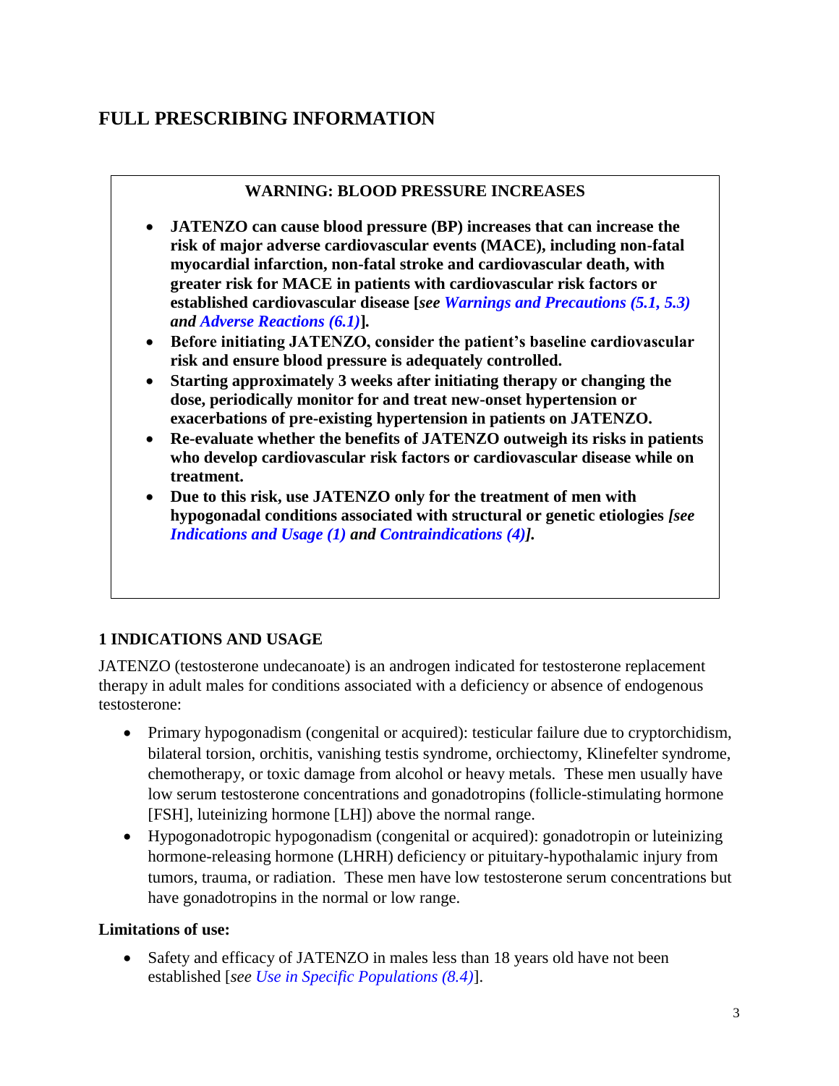# <span id="page-2-0"></span>**FULL PRESCRIBING INFORMATION**

### **WARNING: BLOOD PRESSURE INCREASES**

- **JATENZO can cause blood pressure (BP) increases that can increase the risk of major adverse cardiovascular events (MACE), including non-fatal myocardial infarction, non-fatal stroke and cardiovascular death, with greater risk for MACE in patients with cardiovascular risk factors or established cardiovascular disease [***see [Warnings and Precautions \(5.1,](#page-4-0) [5.3\)](#page-5-0)  and [Adverse Reactions \(6.1\)](#page-7-0)***]***.*
- **Before initiating JATENZO, consider the patient's baseline cardiovascular risk and ensure blood pressure is adequately controlled.**
- **Starting approximately 3 weeks after initiating therapy or changing the dose, periodically monitor for and treat new-onset hypertension or exacerbations of pre-existing hypertension in patients on JATENZO.**
- **Re-evaluate whether the benefits of JATENZO outweigh its risks in patients who develop cardiovascular risk factors or cardiovascular disease while on treatment.**
- **Due to this risk, use JATENZO only for the treatment of men with hypogonadal conditions associated with structural or genetic etiologies** *[see Indications and Usage (1) and [Contraindications \(4\)\]](#page-4-0).*

# **1 INDICATIONS AND USAGE**

JATENZO (testosterone undecanoate) is an androgen indicated for testosterone replacement therapy in adult males for conditions associated with a deficiency or absence of endogenous testosterone:

- Primary hypogonadism (congenital or acquired): testicular failure due to cryptorchidism, bilateral torsion, orchitis, vanishing testis syndrome, orchiectomy, Klinefelter syndrome, chemotherapy, or toxic damage from alcohol or heavy metals. These men usually have low serum testosterone concentrations and gonadotropins (follicle-stimulating hormone [FSH], luteinizing hormone [LH]) above the normal range.
- Hypogonadotropic hypogonadism (congenital or acquired): gonadotropin or luteinizing hormone-releasing hormone (LHRH) deficiency or pituitary-hypothalamic injury from tumors, trauma, or radiation. These men have low testosterone serum concentrations but have gonadotropins in the normal or low range.

### **Limitations of use:**

• Safety and efficacy of JATENZO in males less than 18 years old have not been established [*see [Use in Specific Populations \(8.4\)](#page-10-0)*].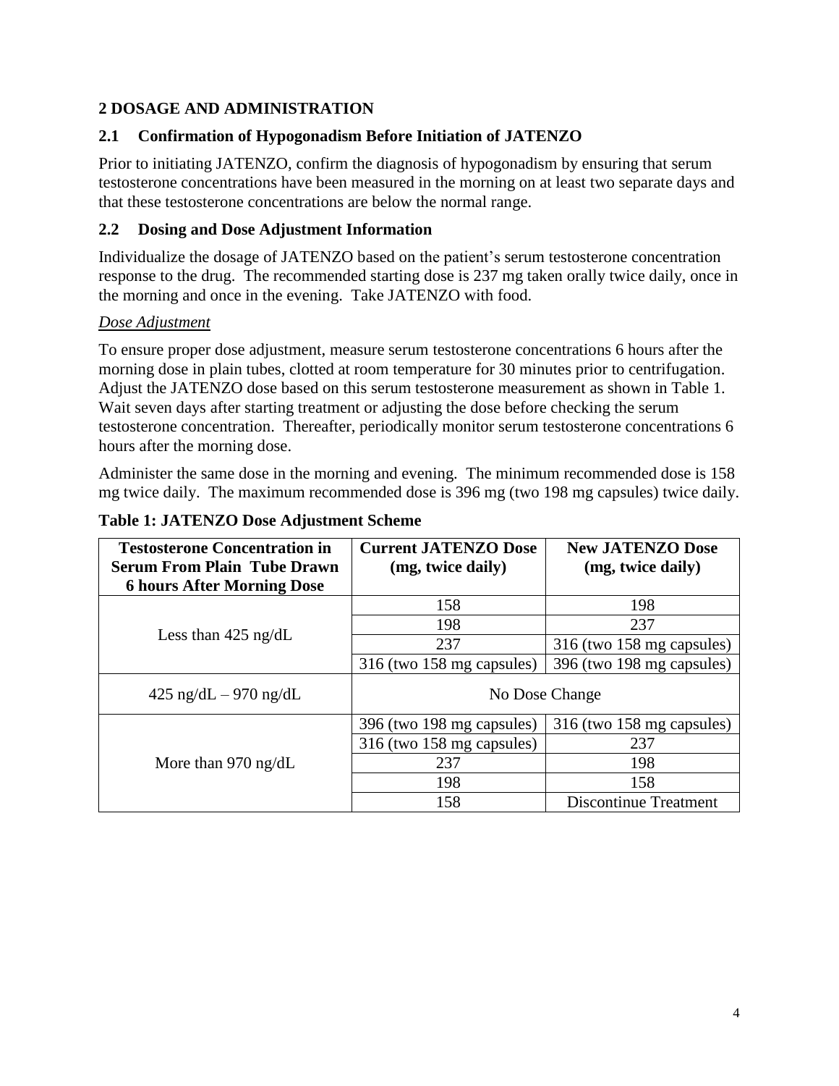# <span id="page-3-0"></span>**2 DOSAGE AND ADMINISTRATION**

# **2.1 Confirmation of Hypogonadism Before Initiation of JATENZO**

Prior to initiating JATENZO, confirm the diagnosis of hypogonadism by ensuring that serum testosterone concentrations have been measured in the morning on at least two separate days and that these testosterone concentrations are below the normal range.

# **2.2 Dosing and Dose Adjustment Information**

Individualize the dosage of JATENZO based on the patient's serum testosterone concentration response to the drug. The recommended starting dose is 237 mg taken orally twice daily, once in the morning and once in the evening. Take JATENZO with food.

# *Dose Adjustment*

To ensure proper dose adjustment, measure serum testosterone concentrations 6 hours after the morning dose in plain tubes, clotted at room temperature for 30 minutes prior to centrifugation. Adjust the JATENZO dose based on this serum testosterone measurement as shown in Table 1. Wait seven days after starting treatment or adjusting the dose before checking the serum testosterone concentration. Thereafter, periodically monitor serum testosterone concentrations 6 hours after the morning dose.

Administer the same dose in the morning and evening. The minimum recommended dose is 158 mg twice daily. The maximum recommended dose is 396 mg (two 198 mg capsules) twice daily.

|  | <b>Table 1: JATENZO Dose Adjustment Scheme</b> |  |  |
|--|------------------------------------------------|--|--|
|  |                                                |  |  |

| <b>Testosterone Concentration in</b><br><b>Serum From Plain Tube Drawn</b> | <b>Current JATENZO Dose</b><br>(mg, twice daily) | <b>New JATENZO Dose</b><br>(mg, twice daily) |
|----------------------------------------------------------------------------|--------------------------------------------------|----------------------------------------------|
| <b>6 hours After Morning Dose</b>                                          |                                                  |                                              |
|                                                                            | 158                                              | 198                                          |
|                                                                            | 198                                              | 237                                          |
| Less than $425$ ng/dL                                                      | 237                                              | 316 (two 158 mg capsules)                    |
|                                                                            | 316 (two 158 mg capsules)                        | 396 (two 198 mg capsules)                    |
| $425 \text{ ng/dL} - 970 \text{ ng/dL}$                                    | No Dose Change                                   |                                              |
|                                                                            | 396 (two 198 mg capsules)                        | 316 (two 158 mg capsules)                    |
|                                                                            | 316 (two 158 mg capsules)                        | 237                                          |
| More than 970 ng/dL                                                        | 237                                              | 198                                          |
|                                                                            | 198                                              | 158                                          |
|                                                                            | 158                                              | <b>Discontinue Treatment</b>                 |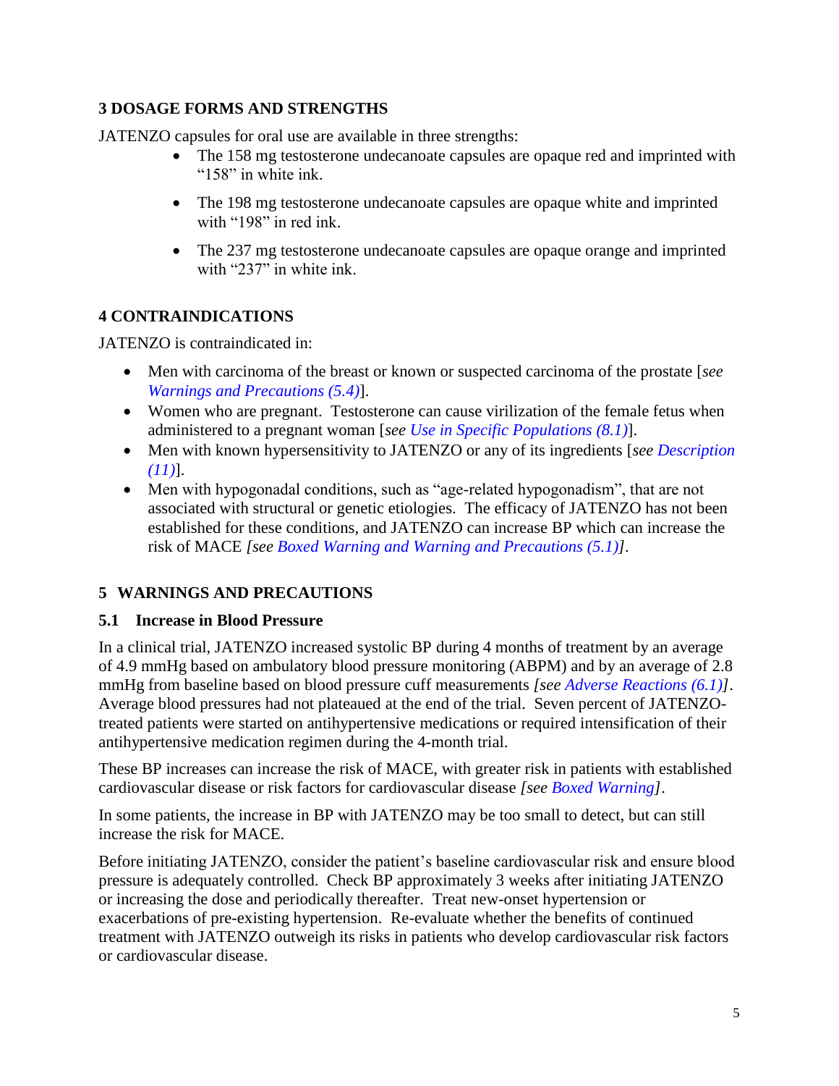# <span id="page-4-0"></span>**3 DOSAGE FORMS AND STRENGTHS**

JATENZO capsules for oral use are available in three strengths:

- The 158 mg testosterone undecanoate capsules are opaque red and imprinted with "158" in white ink.
- The 198 mg testosterone undecanoate capsules are opaque white and imprinted with "198" in red ink.
- The 237 mg testosterone undecanoate capsules are opaque orange and imprinted with "237" in white ink.

# **4 CONTRAINDICATIONS**

JATENZO is contraindicated in:

- Men with carcinoma of the breast or known or suspected carcinoma of the prostate [*see [Warnings and Precautions \(5.4\)](#page-5-0)*].
- Women who are pregnant. Testosterone can cause virilization of the female fetus when administered to a pregnant woman [*see [Use in Specific Populations \(8.1\)](#page-9-0)*].
- Men with known hypersensitivity to JATENZO or any of its ingredients [*see [Description](#page-12-0)  [\(11\)](#page-12-0)*].
- Men with hypogonadal conditions, such as "age-related hypogonadism", that are not associated with structural or genetic etiologies. The efficacy of JATENZO has not been established for these conditions, and JATENZO can increase BP which can increase the risk of MACE *[see Boxed Warning and Warning and Precautions (5.1)].*

# **5 WARNINGS AND PRECAUTIONS**

# **5.1 Increase in Blood Pressure**

In a clinical trial, JATENZO increased systolic BP during 4 months of treatment by an average of 4.9 mmHg based on ambulatory blood pressure monitoring (ABPM) and by an average of 2.8 mmHg from baseline based on blood pressure cuff measurements *[see [Adverse Reactions \(6.1\)\]](#page-7-0)*. Average blood pressures had not plateaued at the end of the trial. Seven percent of JATENZOtreated patients were started on antihypertensive medications or required intensification of their antihypertensive medication regimen during the 4-month trial.

These BP increases can increase the risk of MACE, with greater risk in patients with established cardiovascular disease or risk factors for cardiovascular disease *[see [Boxed Warning\]](#page-2-0)*.

In some patients, the increase in BP with JATENZO may be too small to detect, but can still increase the risk for MACE.

Before initiating JATENZO, consider the patient's baseline cardiovascular risk and ensure blood pressure is adequately controlled. Check BP approximately 3 weeks after initiating JATENZO or increasing the dose and periodically thereafter. Treat new-onset hypertension or exacerbations of pre-existing hypertension. Re-evaluate whether the benefits of continued treatment with JATENZO outweigh its risks in patients who develop cardiovascular risk factors or cardiovascular disease.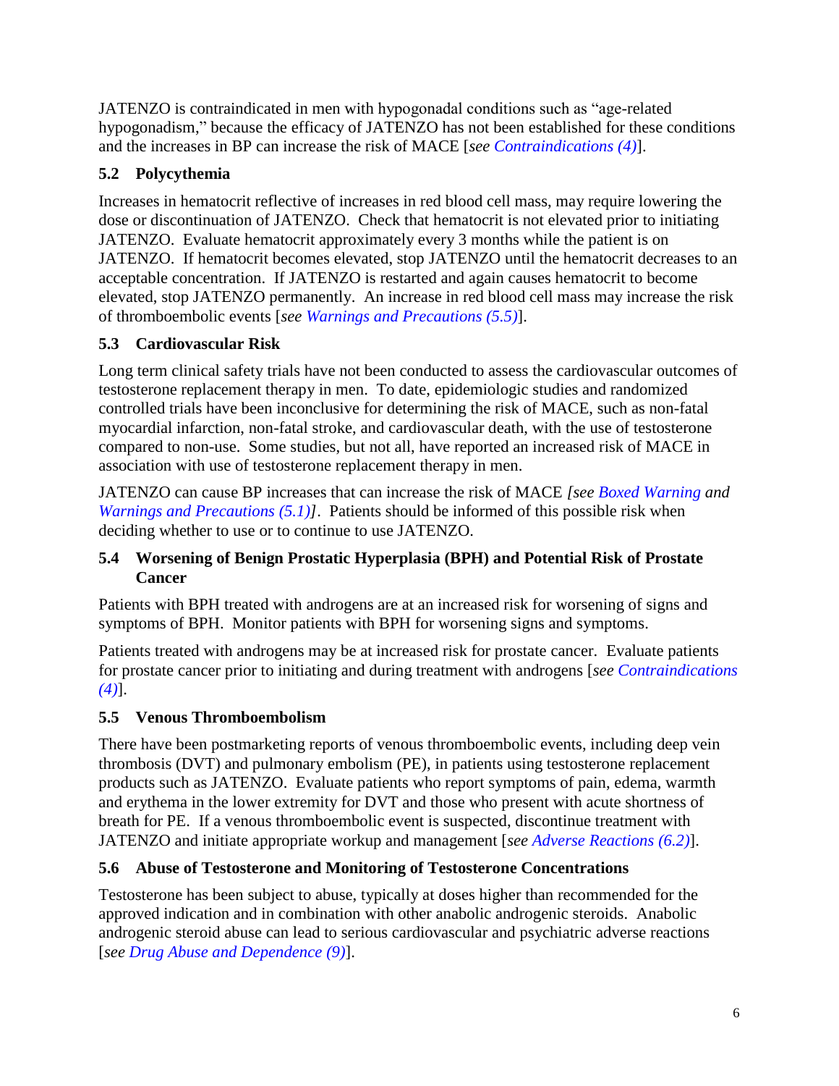<span id="page-5-0"></span>JATENZO is contraindicated in men with hypogonadal conditions such as "age-related hypogonadism," because the efficacy of JATENZO has not been established for these conditions and the increases in BP can increase the risk of MACE [*see [Contraindications \(4\)](#page-4-0)*].

# **5.2 Polycythemia**

Increases in hematocrit reflective of increases in red blood cell mass, may require lowering the dose or discontinuation of JATENZO. Check that hematocrit is not elevated prior to initiating JATENZO. Evaluate hematocrit approximately every 3 months while the patient is on JATENZO. If hematocrit becomes elevated, stop JATENZO until the hematocrit decreases to an acceptable concentration. If JATENZO is restarted and again causes hematocrit to become elevated, stop JATENZO permanently. An increase in red blood cell mass may increase the risk of thromboembolic events [*see Warnings and Precautions (5.5)*].

# **5.3 Cardiovascular Risk**

Long term clinical safety trials have not been conducted to assess the cardiovascular outcomes of testosterone replacement therapy in men. To date, epidemiologic studies and randomized controlled trials have been inconclusive for determining the risk of MACE, such as non-fatal myocardial infarction, non-fatal stroke, and cardiovascular death, with the use of testosterone compared to non-use. Some studies, but not all, have reported an increased risk of MACE in association with use of testosterone replacement therapy in men.

JATENZO can cause BP increases that can increase the risk of MACE *[see [Boxed Warning](#page-2-0) and [Warnings and Precautions](#page-4-0)* (5.1)]. Patients should be informed of this possible risk when deciding whether to use or to continue to use JATENZO.

# **5.4 Worsening of Benign Prostatic Hyperplasia (BPH) and Potential Risk of Prostate Cancer**

Patients with BPH treated with androgens are at an increased risk for worsening of signs and symptoms of BPH. Monitor patients with BPH for worsening signs and symptoms.

Patients treated with androgens may be at increased risk for prostate cancer. Evaluate patients for prostate cancer prior to initiating and during treatment with androgens [*see [Contraindications](#page-4-0)  [\(4\)](#page-4-0)*].

# **5.5 Venous Thromboembolism**

There have been postmarketing reports of venous thromboembolic events, including deep vein thrombosis (DVT) and pulmonary embolism (PE), in patients using testosterone replacement products such as JATENZO. Evaluate patients who report symptoms of pain, edema, warmth and erythema in the lower extremity for DVT and those who present with acute shortness of breath for PE. If a venous thromboembolic event is suspected, discontinue treatment with JATENZO and initiate appropriate workup and management [*see [Adverse Reactions \(6.2\)](#page-9-0)*].

# **5.6 Abuse of Testosterone and Monitoring of Testosterone Concentrations**

Testosterone has been subject to abuse, typically at doses higher than recommended for the approved indication and in combination with other anabolic androgenic steroids. Anabolic androgenic steroid abuse can lead to serious cardiovascular and psychiatric adverse reactions [*see [Drug Abuse and Dependence \(9\)](#page-11-0)*].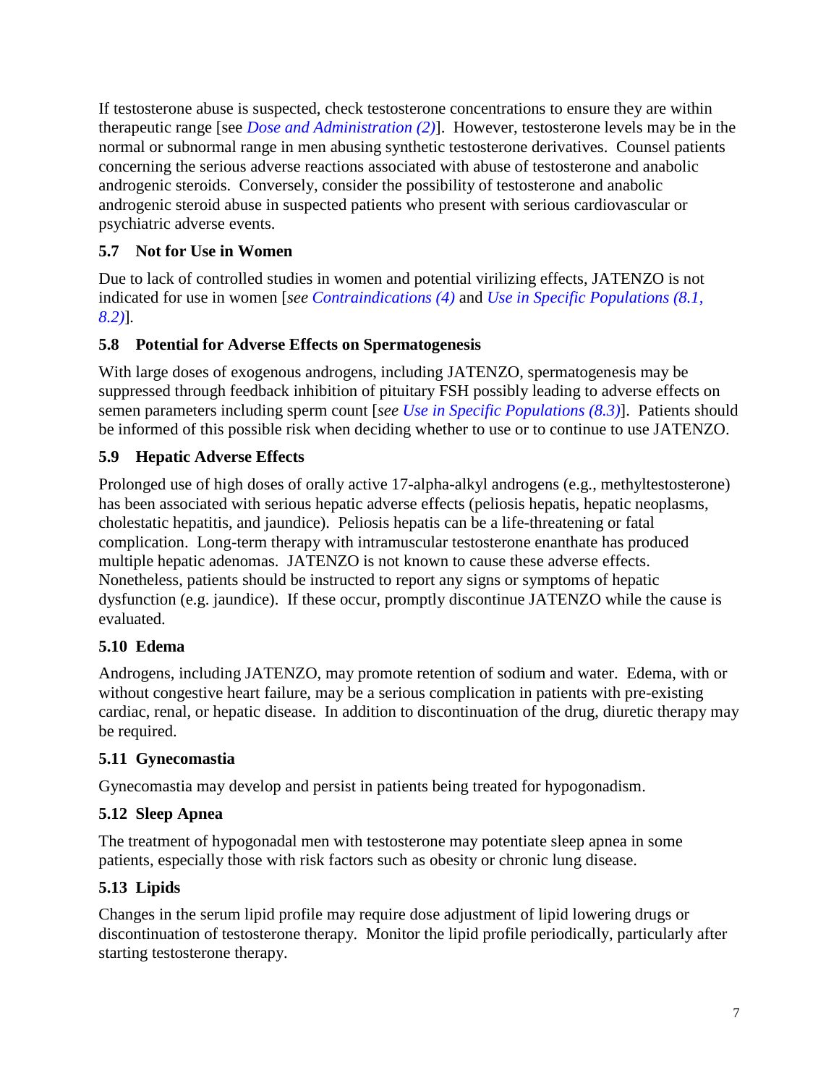<span id="page-6-0"></span>If testosterone abuse is suspected, check testosterone concentrations to ensure they are within therapeutic range [see *[Dose and Administration \(2\)](#page-3-0)*]. However, testosterone levels may be in the normal or subnormal range in men abusing synthetic testosterone derivatives. Counsel patients concerning the serious adverse reactions associated with abuse of testosterone and anabolic androgenic steroids. Conversely, consider the possibility of testosterone and anabolic androgenic steroid abuse in suspected patients who present with serious cardiovascular or psychiatric adverse events.

# **5.7 Not for Use in Women**

Due to lack of controlled studies in women and potential virilizing effects, JATENZO is not indicated for use in women [*see [Contraindications \(4\)](#page-4-0)* and *[Use in Specific Populations \(8.1,](#page-9-0) [8.2\)](#page-10-0)*]*.*

# **5.8 Potential for Adverse Effects on Spermatogenesis**

With large doses of exogenous androgens, including JATENZO, spermatogenesis may be suppressed through feedback inhibition of pituitary FSH possibly leading to adverse effects on semen parameters including sperm count [*see [Use in Specific Populations \(8.3\)](#page-10-0)*]. Patients should be informed of this possible risk when deciding whether to use or to continue to use JATENZO.

# **5.9 Hepatic Adverse Effects**

Prolonged use of high doses of orally active 17-alpha-alkyl androgens (e.g., methyltestosterone) has been associated with serious hepatic adverse effects (peliosis hepatis, hepatic neoplasms, cholestatic hepatitis, and jaundice). Peliosis hepatis can be a life-threatening or fatal complication. Long-term therapy with intramuscular testosterone enanthate has produced multiple hepatic adenomas. JATENZO is not known to cause these adverse effects. Nonetheless, patients should be instructed to report any signs or symptoms of hepatic dysfunction (e.g. jaundice). If these occur, promptly discontinue JATENZO while the cause is evaluated.

# **5.10 Edema**

Androgens, including JATENZO, may promote retention of sodium and water. Edema, with or without congestive heart failure, may be a serious complication in patients with pre-existing cardiac, renal, or hepatic disease. In addition to discontinuation of the drug, diuretic therapy may be required.

# **5.11 Gynecomastia**

Gynecomastia may develop and persist in patients being treated for hypogonadism.

# **5.12 Sleep Apnea**

The treatment of hypogonadal men with testosterone may potentiate sleep apnea in some patients, especially those with risk factors such as obesity or chronic lung disease.

# **5.13 Lipids**

Changes in the serum lipid profile may require dose adjustment of lipid lowering drugs or discontinuation of testosterone therapy*.* Monitor the lipid profile periodically, particularly after starting testosterone therapy.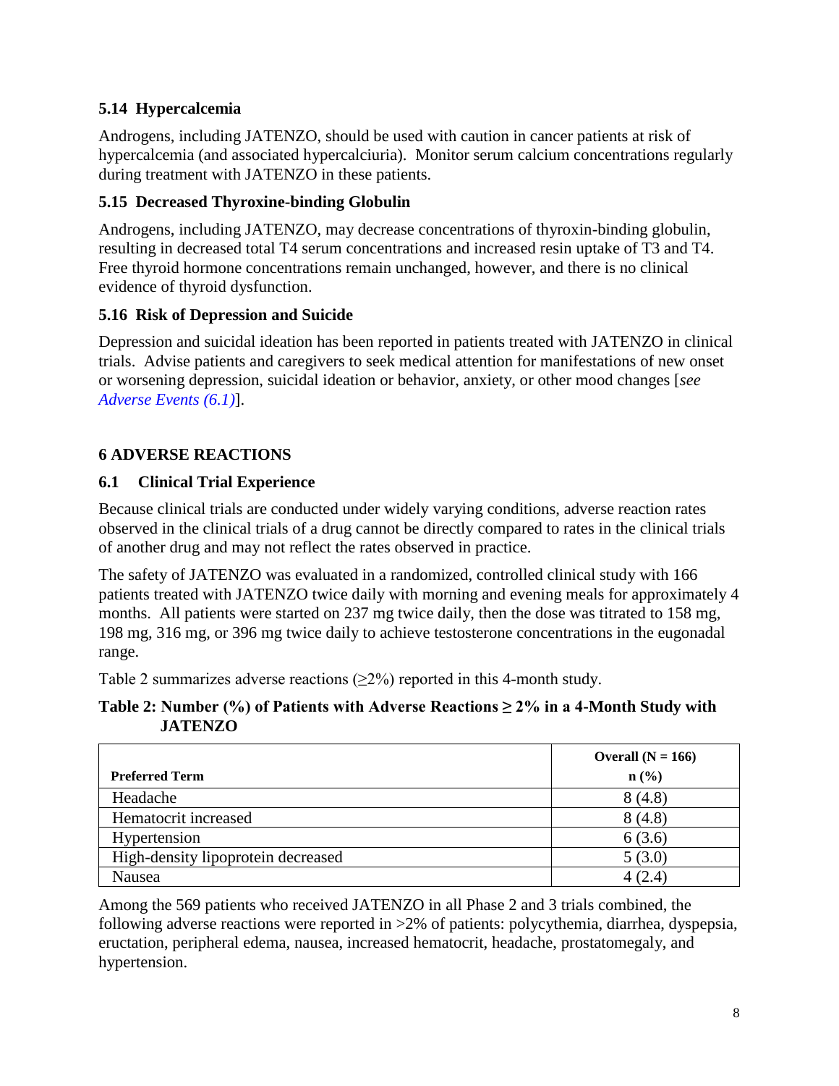# <span id="page-7-0"></span>**5.14 Hypercalcemia**

Androgens, including JATENZO, should be used with caution in cancer patients at risk of hypercalcemia (and associated hypercalciuria). Monitor serum calcium concentrations regularly during treatment with JATENZO in these patients.

# **5.15 Decreased Thyroxine-binding Globulin**

Androgens, including JATENZO, may decrease concentrations of thyroxin-binding globulin, resulting in decreased total T4 serum concentrations and increased resin uptake of T3 and T4. Free thyroid hormone concentrations remain unchanged, however, and there is no clinical evidence of thyroid dysfunction.

# **5.16 Risk of Depression and Suicide**

Depression and suicidal ideation has been reported in patients treated with JATENZO in clinical trials. Advise patients and caregivers to seek medical attention for manifestations of new onset or worsening depression, suicidal ideation or behavior, anxiety, or other mood changes [*see Adverse Events (6.1)*].

# **6 ADVERSE REACTIONS**

# **6.1 Clinical Trial Experience**

Because clinical trials are conducted under widely varying conditions, adverse reaction rates observed in the clinical trials of a drug cannot be directly compared to rates in the clinical trials of another drug and may not reflect the rates observed in practice.

The safety of JATENZO was evaluated in a randomized, controlled clinical study with 166 patients treated with JATENZO twice daily with morning and evening meals for approximately 4 months. All patients were started on 237 mg twice daily, then the dose was titrated to 158 mg, 198 mg, 316 mg, or 396 mg twice daily to achieve testosterone concentrations in the eugonadal range.

Table 2 summarizes adverse reactions ( $\geq$ 2%) reported in this 4-month study.

### **Table 2: Number (%) of Patients with Adverse Reactions ≥ 2% in a 4-Month Study with JATENZO**

|                                    | Overall $(N = 166)$ |
|------------------------------------|---------------------|
| <b>Preferred Term</b>              | $\mathbf{n}(\%)$    |
| Headache                           | 8(4.8)              |
| Hematocrit increased               | 8(4.8)              |
| Hypertension                       | 6(3.6)              |
| High-density lipoprotein decreased | 5(3.0)              |
| Nausea                             | 4 (2.4)             |

Among the 569 patients who received JATENZO in all Phase 2 and 3 trials combined, the following adverse reactions were reported in >2% of patients: polycythemia, diarrhea, dyspepsia, eructation, peripheral edema, nausea, increased hematocrit, headache, prostatomegaly, and hypertension.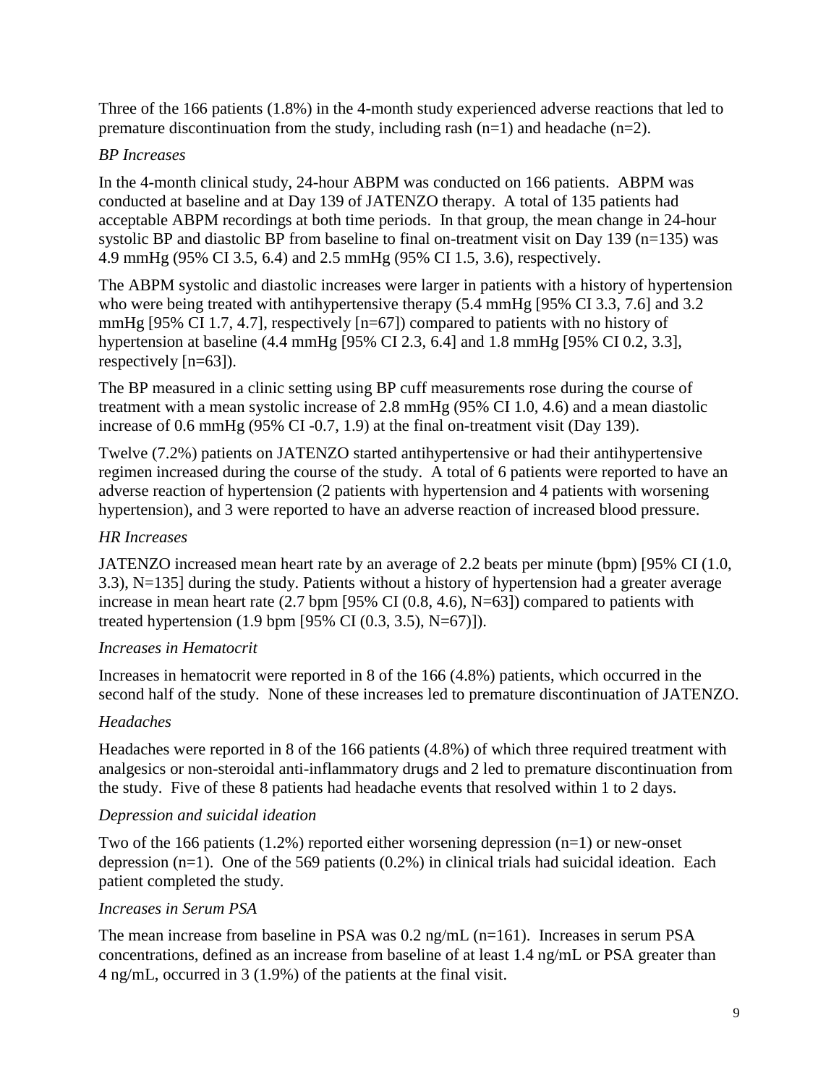Three of the 166 patients (1.8%) in the 4-month study experienced adverse reactions that led to premature discontinuation from the study, including rash (n=1) and headache (n=2).

# *BP Increases*

In the 4-month clinical study, 24-hour ABPM was conducted on 166 patients. ABPM was conducted at baseline and at Day 139 of JATENZO therapy. A total of 135 patients had acceptable ABPM recordings at both time periods. In that group, the mean change in 24-hour systolic BP and diastolic BP from baseline to final on-treatment visit on Day 139 (n=135) was 4.9 mmHg (95% CI 3.5, 6.4) and 2.5 mmHg (95% CI 1.5, 3.6), respectively.

The ABPM systolic and diastolic increases were larger in patients with a history of hypertension who were being treated with antihypertensive therapy (5.4 mmHg [95% CI 3.3, 7.6] and 3.2 mmHg [95% CI 1.7, 4.7], respectively [n=67]) compared to patients with no history of hypertension at baseline (4.4 mmHg [95% CI 2.3, 6.4] and 1.8 mmHg [95% CI 0.2, 3.3], respectively [n=63]).

The BP measured in a clinic setting using BP cuff measurements rose during the course of treatment with a mean systolic increase of 2.8 mmHg (95% CI 1.0, 4.6) and a mean diastolic increase of 0.6 mmHg (95% CI -0.7, 1.9) at the final on-treatment visit (Day 139).

Twelve (7.2%) patients on JATENZO started antihypertensive or had their antihypertensive regimen increased during the course of the study. A total of 6 patients were reported to have an adverse reaction of hypertension (2 patients with hypertension and 4 patients with worsening hypertension), and 3 were reported to have an adverse reaction of increased blood pressure.

# *HR Increases*

JATENZO increased mean heart rate by an average of 2.2 beats per minute (bpm) [95% CI (1.0, 3.3), N=135] during the study. Patients without a history of hypertension had a greater average increase in mean heart rate  $(2.7 \text{ bpm} [95\% \text{ CI} (0.8, 4.6), \text{N=63}])$  compared to patients with treated hypertension (1.9 bpm [95% CI (0.3, 3.5), N=67)]).

# *Increases in Hematocrit*

Increases in hematocrit were reported in 8 of the 166 (4.8%) patients, which occurred in the second half of the study. None of these increases led to premature discontinuation of JATENZO.

# *Headaches*

Headaches were reported in 8 of the 166 patients (4.8%) of which three required treatment with analgesics or non-steroidal anti-inflammatory drugs and 2 led to premature discontinuation from the study. Five of these 8 patients had headache events that resolved within 1 to 2 days.

# *Depression and suicidal ideation*

Two of the 166 patients  $(1.2\%)$  reported either worsening depression  $(n=1)$  or new-onset depression  $(n=1)$ . One of the 569 patients  $(0.2\%)$  in clinical trials had suicidal ideation. Each patient completed the study.

# *Increases in Serum PSA*

The mean increase from baseline in PSA was  $0.2$  ng/mL (n=161). Increases in serum PSA concentrations, defined as an increase from baseline of at least 1.4 ng/mL or PSA greater than 4 ng/mL, occurred in 3 (1.9%) of the patients at the final visit.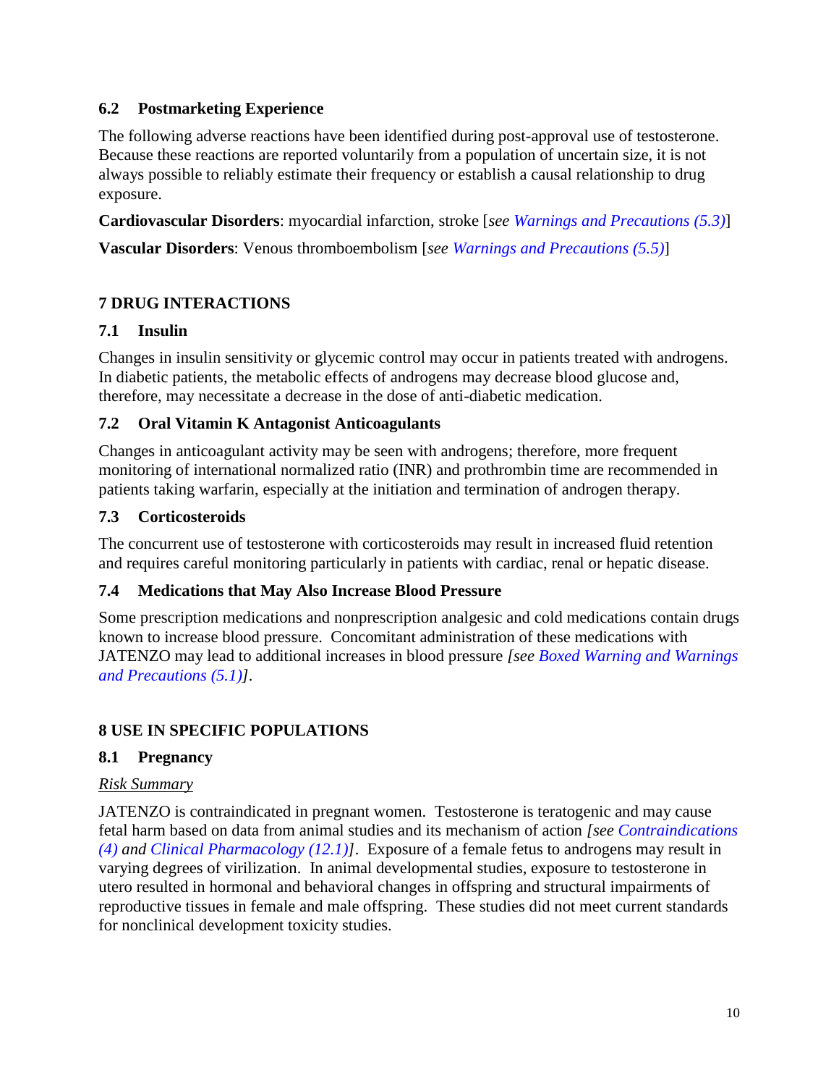## <span id="page-9-0"></span>**6.2 Postmarketing Experience**

The following adverse reactions have been identified during post-approval use of testosterone. Because these reactions are reported voluntarily from a population of uncertain size, it is not always possible to reliably estimate their frequency or establish a causal relationship to drug exposure.

**Cardiovascular Disorders**: myocardial infarction, stroke [*see [Warnings and Precautions \(5.3\)](#page-5-0)*]

**Vascular Disorders**: Venous thromboembolism [*see [Warnings and Precautions \(5.5\)](#page-5-0)*]

# **7 DRUG INTERACTIONS**

## **7.1 Insulin**

Changes in insulin sensitivity or glycemic control may occur in patients treated with androgens. In diabetic patients, the metabolic effects of androgens may decrease blood glucose and, therefore, may necessitate a decrease in the dose of anti-diabetic medication.

## **7.2 Oral Vitamin K Antagonist Anticoagulants**

Changes in anticoagulant activity may be seen with androgens; therefore, more frequent monitoring of international normalized ratio (INR) and prothrombin time are recommended in patients taking warfarin, especially at the initiation and termination of androgen therapy.

## **7.3 Corticosteroids**

The concurrent use of testosterone with corticosteroids may result in increased fluid retention and requires careful monitoring particularly in patients with cardiac, renal or hepatic disease.

# **7.4 Medications that May Also Increase Blood Pressure**

Some prescription medications and nonprescription analgesic and cold medications contain drugs known to increase blood pressure. Concomitant administration of these medications with JATENZO may lead to additional increases in blood pressure *[see [Boxed Warning](#page-2-0) and [Warnings](#page-4-0)  [and Precautions \(5.1\)](#page-4-0)].*

# **8 USE IN SPECIFIC POPULATIONS**

# **8.1 Pregnancy**

# *Risk Summary*

JATENZO is contraindicated in pregnant women. Testosterone is teratogenic and may cause fetal harm based on data from animal studies and its mechanism of action *[see [Contraindications](#page-4-0)  [\(4\)](#page-4-0) and [Clinical Pharmacology \(12.1\)\]](#page-13-0)*. Exposure of a female fetus to androgens may result in varying degrees of virilization. In animal developmental studies, exposure to testosterone in utero resulted in hormonal and behavioral changes in offspring and structural impairments of reproductive tissues in female and male offspring. These studies did not meet current standards for nonclinical development toxicity studies.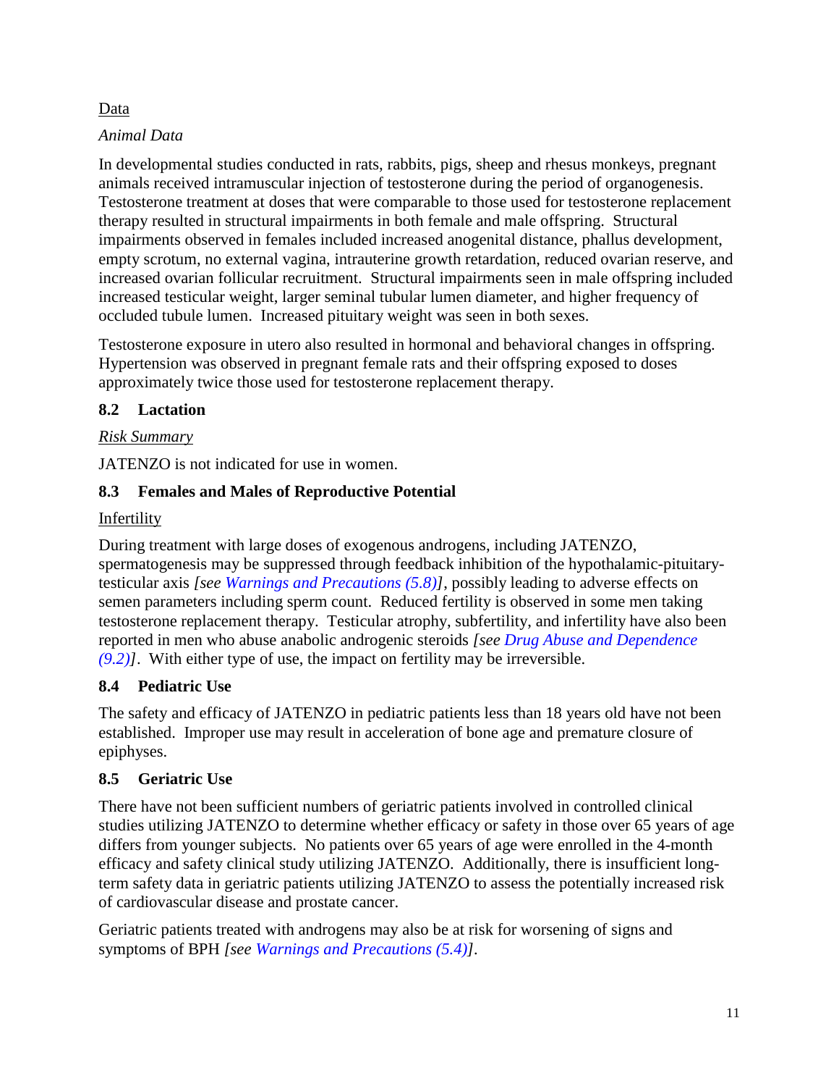### <span id="page-10-0"></span>Data

### *Animal Data*

In developmental studies conducted in rats, rabbits, pigs, sheep and rhesus monkeys, pregnant animals received intramuscular injection of testosterone during the period of organogenesis. Testosterone treatment at doses that were comparable to those used for testosterone replacement therapy resulted in structural impairments in both female and male offspring. Structural impairments observed in females included increased anogenital distance, phallus development, empty scrotum, no external vagina, intrauterine growth retardation, reduced ovarian reserve, and increased ovarian follicular recruitment. Structural impairments seen in male offspring included increased testicular weight, larger seminal tubular lumen diameter, and higher frequency of occluded tubule lumen. Increased pituitary weight was seen in both sexes.

Testosterone exposure in utero also resulted in hormonal and behavioral changes in offspring. Hypertension was observed in pregnant female rats and their offspring exposed to doses approximately twice those used for testosterone replacement therapy.

# **8.2 Lactation**

## *Risk Summary*

JATENZO is not indicated for use in women.

# **8.3 Females and Males of Reproductive Potential**

**Infertility** 

During treatment with large doses of exogenous androgens, including JATENZO, spermatogenesis may be suppressed through feedback inhibition of the hypothalamic-pituitarytesticular axis *[see [Warnings and Precautions \(5.8\)](#page-6-0)]*, possibly leading to adverse effects on semen parameters including sperm count. Reduced fertility is observed in some men taking testosterone replacement therapy. Testicular atrophy, subfertility, and infertility have also been reported in men who abuse anabolic androgenic steroids *[see [Drug Abuse and Dependence](#page-11-0)  [\(9.2\)\]](#page-11-0)*. With either type of use, the impact on fertility may be irreversible.

# **8.4 Pediatric Use**

The safety and efficacy of JATENZO in pediatric patients less than 18 years old have not been established. Improper use may result in acceleration of bone age and premature closure of epiphyses.

# **8.5 Geriatric Use**

There have not been sufficient numbers of geriatric patients involved in controlled clinical studies utilizing JATENZO to determine whether efficacy or safety in those over 65 years of age differs from younger subjects. No patients over 65 years of age were enrolled in the 4-month efficacy and safety clinical study utilizing JATENZO. Additionally, there is insufficient longterm safety data in geriatric patients utilizing JATENZO to assess the potentially increased risk of cardiovascular disease and prostate cancer.

Geriatric patients treated with androgens may also be at risk for worsening of signs and symptoms of BPH *[see Warnings and [Precautions \(5.4\)\]](#page-5-0).*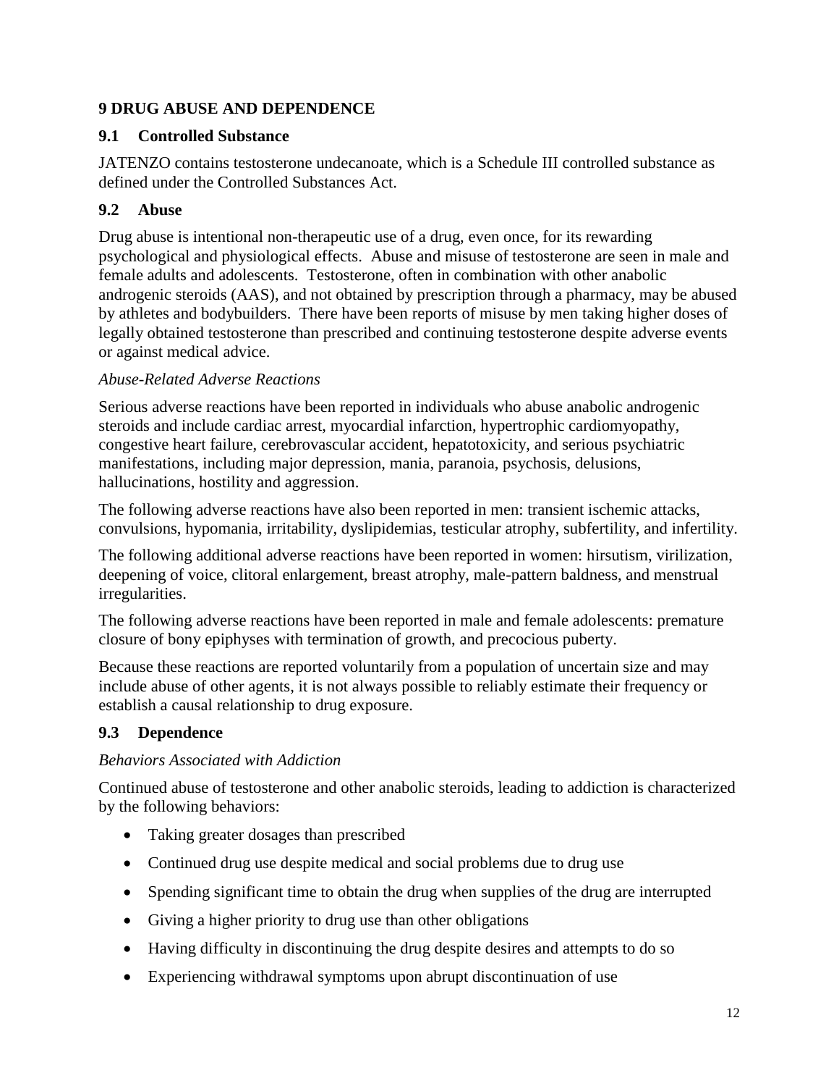## <span id="page-11-0"></span>**9 DRUG ABUSE AND DEPENDENCE**

### **9.1 Controlled Substance**

JATENZO contains testosterone undecanoate, which is a Schedule III controlled substance as defined under the Controlled Substances Act.

# **9.2 Abuse**

Drug abuse is intentional non-therapeutic use of a drug, even once, for its rewarding psychological and physiological effects. Abuse and misuse of testosterone are seen in male and female adults and adolescents. Testosterone, often in combination with other anabolic androgenic steroids (AAS), and not obtained by prescription through a pharmacy, may be abused by athletes and bodybuilders. There have been reports of misuse by men taking higher doses of legally obtained testosterone than prescribed and continuing testosterone despite adverse events or against medical advice.

# *Abuse-Related Adverse Reactions*

Serious adverse reactions have been reported in individuals who abuse anabolic androgenic steroids and include cardiac arrest, myocardial infarction, hypertrophic cardiomyopathy, congestive heart failure, cerebrovascular accident, hepatotoxicity, and serious psychiatric manifestations, including major depression, mania, paranoia, psychosis, delusions, hallucinations, hostility and aggression.

The following adverse reactions have also been reported in men: transient ischemic attacks, convulsions, hypomania, irritability, dyslipidemias, testicular atrophy, subfertility, and infertility.

The following additional adverse reactions have been reported in women: hirsutism, virilization, deepening of voice, clitoral enlargement, breast atrophy, male-pattern baldness, and menstrual irregularities.

The following adverse reactions have been reported in male and female adolescents: premature closure of bony epiphyses with termination of growth, and precocious puberty.

Because these reactions are reported voluntarily from a population of uncertain size and may include abuse of other agents, it is not always possible to reliably estimate their frequency or establish a causal relationship to drug exposure.

# **9.3 Dependence**

# *Behaviors Associated with Addiction*

Continued abuse of testosterone and other anabolic steroids, leading to addiction is characterized by the following behaviors:

- Taking greater dosages than prescribed
- Continued drug use despite medical and social problems due to drug use
- Spending significant time to obtain the drug when supplies of the drug are interrupted
- Giving a higher priority to drug use than other obligations
- Having difficulty in discontinuing the drug despite desires and attempts to do so
- Experiencing withdrawal symptoms upon abrupt discontinuation of use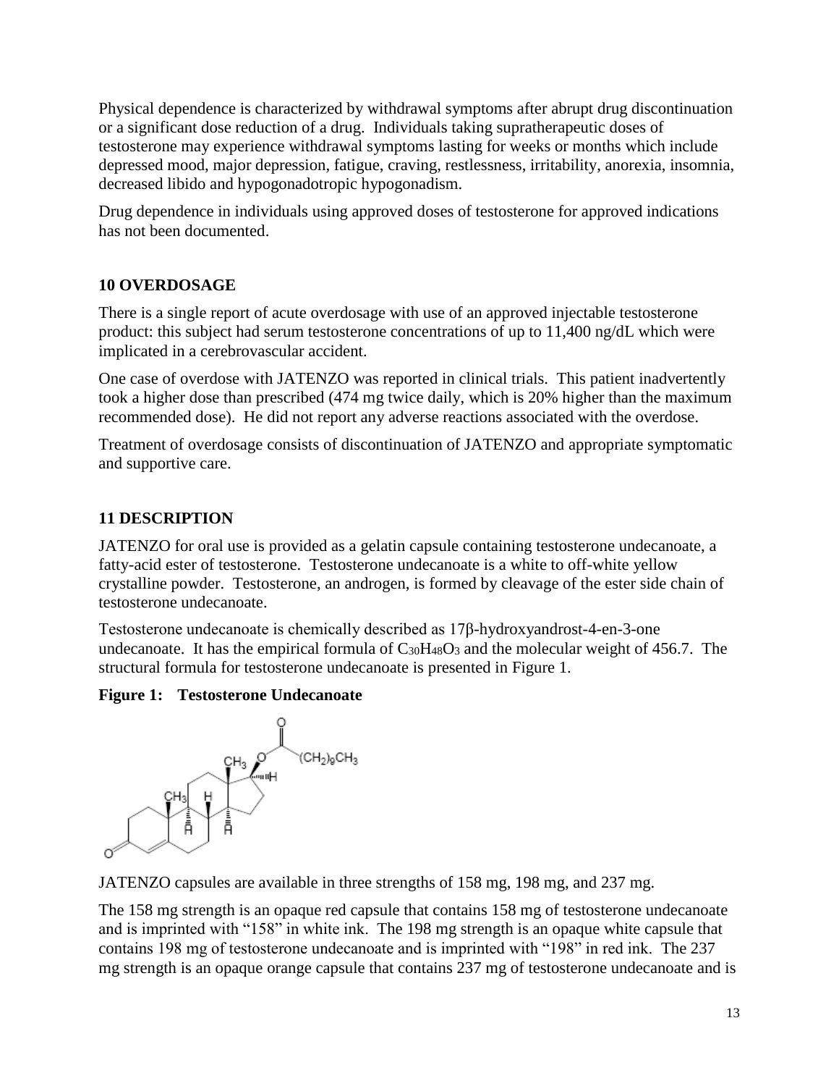<span id="page-12-0"></span>Physical dependence is characterized by withdrawal symptoms after abrupt drug discontinuation or a significant dose reduction of a drug. Individuals taking supratherapeutic doses of testosterone may experience withdrawal symptoms lasting for weeks or months which include depressed mood, major depression, fatigue, craving, restlessness, irritability, anorexia, insomnia, decreased libido and hypogonadotropic hypogonadism.

Drug dependence in individuals using approved doses of testosterone for approved indications has not been documented.

## **10 OVERDOSAGE**

There is a single report of acute overdosage with use of an approved injectable testosterone product: this subject had serum testosterone concentrations of up to 11,400 ng/dL which were implicated in a cerebrovascular accident.

One case of overdose with JATENZO was reported in clinical trials. This patient inadvertently took a higher dose than prescribed (474 mg twice daily, which is 20% higher than the maximum recommended dose). He did not report any adverse reactions associated with the overdose.

Treatment of overdosage consists of discontinuation of JATENZO and appropriate symptomatic and supportive care.

# **11 DESCRIPTION**

JATENZO for oral use is provided as a gelatin capsule containing testosterone undecanoate, a fatty-acid ester of testosterone. Testosterone undecanoate is a white to off-white yellow crystalline powder. Testosterone, an androgen, is formed by cleavage of the ester side chain of testosterone undecanoate.

Testosterone undecanoate is chemically described as 17β-hydroxyandrost-4-en-3-one undecanoate. It has the empirical formula of  $C_{30}H_{48}O_3$  and the molecular weight of 456.7. The structural formula for testosterone undecanoate is presented in Figure 1.

### **Figure 1: Testosterone Undecanoate**



JATENZO capsules are available in three strengths of 158 mg, 198 mg, and 237 mg.

The 158 mg strength is an opaque red capsule that contains 158 mg of testosterone undecanoate and is imprinted with "158" in white ink. The 198 mg strength is an opaque white capsule that contains 198 mg of testosterone undecanoate and is imprinted with "198" in red ink. The 237 mg strength is an opaque orange capsule that contains 237 mg of testosterone undecanoate and is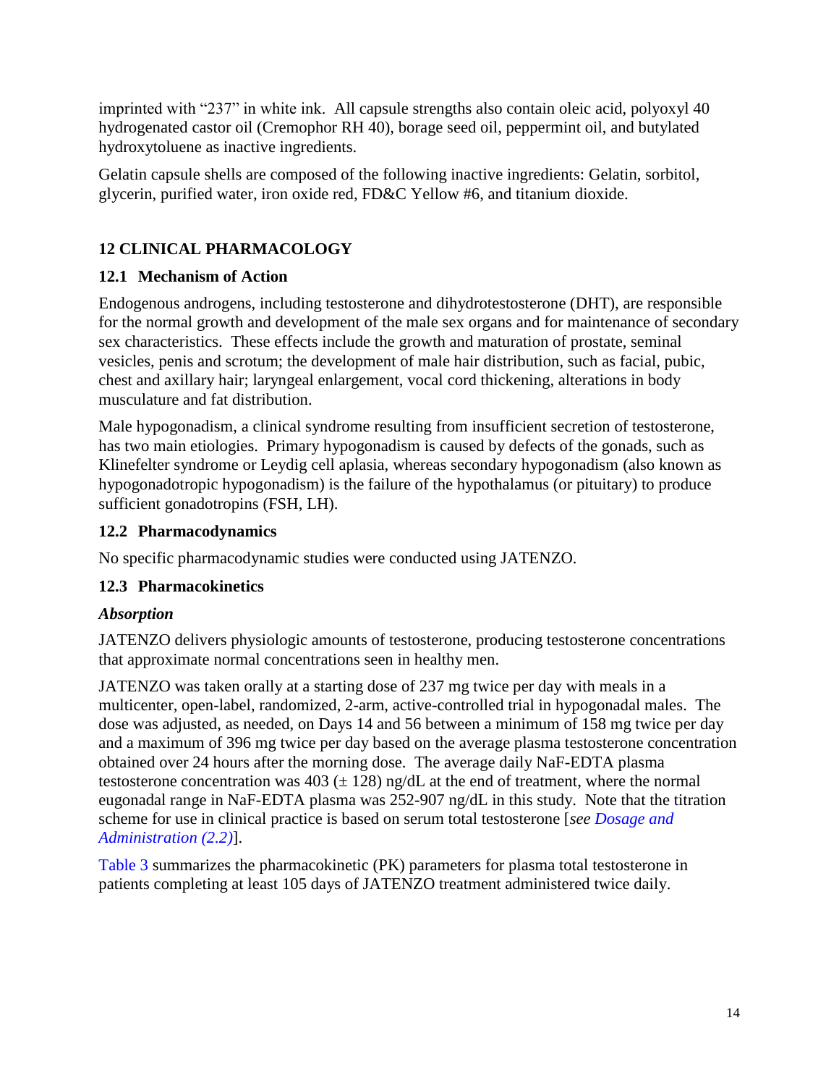<span id="page-13-0"></span>imprinted with "237" in white ink. All capsule strengths also contain oleic acid, polyoxyl 40 hydrogenated castor oil (Cremophor RH 40), borage seed oil, peppermint oil, and butylated hydroxytoluene as inactive ingredients.

Gelatin capsule shells are composed of the following inactive ingredients: Gelatin, sorbitol, glycerin, purified water, iron oxide red, FD&C Yellow #6, and titanium dioxide.

# **12 CLINICAL PHARMACOLOGY**

# **12.1 Mechanism of Action**

Endogenous androgens, including testosterone and dihydrotestosterone (DHT), are responsible for the normal growth and development of the male sex organs and for maintenance of secondary sex characteristics. These effects include the growth and maturation of prostate, seminal vesicles, penis and scrotum; the development of male hair distribution, such as facial, pubic, chest and axillary hair; laryngeal enlargement, vocal cord thickening, alterations in body musculature and fat distribution.

Male hypogonadism, a clinical syndrome resulting from insufficient secretion of testosterone, has two main etiologies. Primary hypogonadism is caused by defects of the gonads, such as Klinefelter syndrome or Leydig cell aplasia, whereas secondary hypogonadism (also known as hypogonadotropic hypogonadism) is the failure of the hypothalamus (or pituitary) to produce sufficient gonadotropins (FSH, LH).

# **12.2 Pharmacodynamics**

No specific pharmacodynamic studies were conducted using JATENZO.

# **12.3 Pharmacokinetics**

# *Absorption*

JATENZO delivers physiologic amounts of testosterone, producing testosterone concentrations that approximate normal concentrations seen in healthy men.

JATENZO was taken orally at a starting dose of 237 mg twice per day with meals in a multicenter, open-label, randomized, 2-arm, active-controlled trial in hypogonadal males. The dose was adjusted, as needed, on Days 14 and 56 between a minimum of 158 mg twice per day and a maximum of 396 mg twice per day based on the average plasma testosterone concentration obtained over 24 hours after the morning dose. The average daily NaF-EDTA plasma testosterone concentration was  $403 (\pm 128)$  ng/dL at the end of treatment, where the normal eugonadal range in NaF-EDTA plasma was 252-907 ng/dL in this study. Note that the titration scheme for use in clinical practice is based on serum total testosterone [*see [Dosage and](#page-3-0)  [Administration](#page-3-0) (2.2)*].

[Table 3](#page-14-0) summarizes the pharmacokinetic (PK) parameters for plasma total testosterone in patients completing at least 105 days of JATENZO treatment administered twice daily.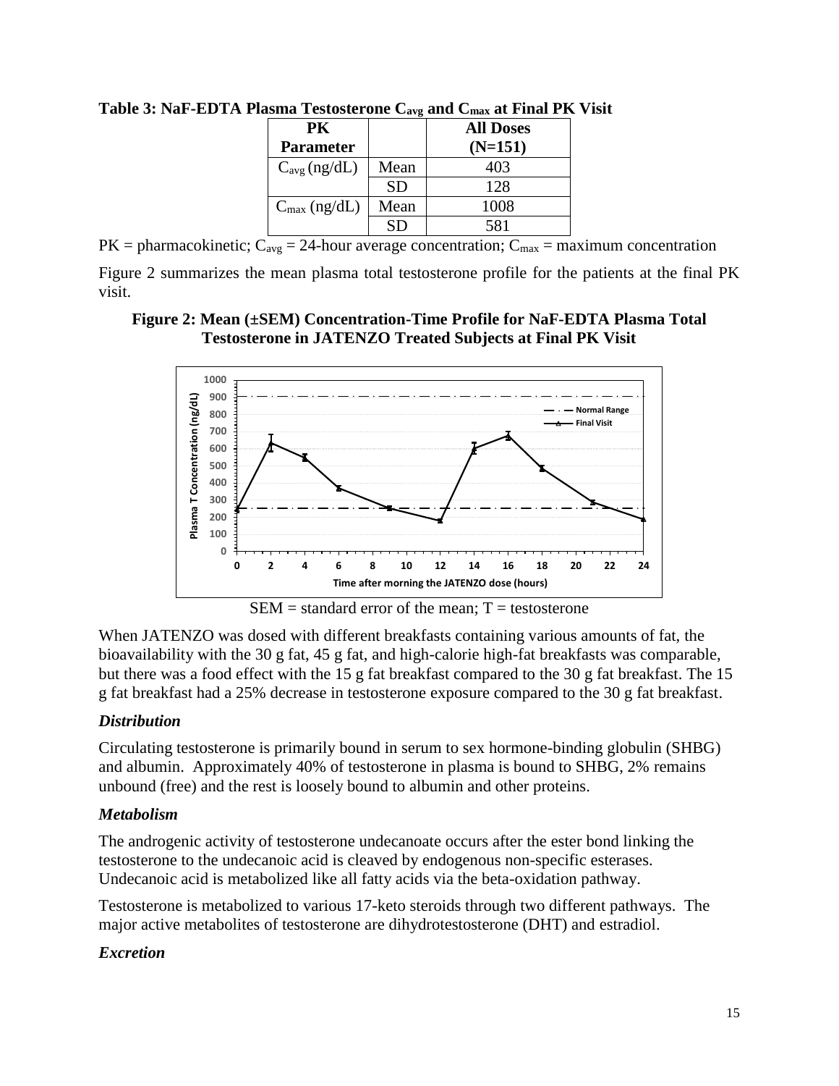| PK.                      |           | <b>All Doses</b> |
|--------------------------|-----------|------------------|
| <b>Parameter</b>         |           | $(N=151)$        |
| $C_{avg}$ (ng/dL)        | Mean      | 403              |
|                          | <b>SD</b> | 128              |
| $C_{\text{max}}$ (ng/dL) | Mean      | 1008             |
|                          |           | 581              |

<span id="page-14-0"></span>**Table 3: NaF-EDTA Plasma Testosterone Cavg and Cmax at Final PK Visit**

 $PK = pharmacokinetic$ ;  $C_{avg} = 24$ -hour average concentration;  $C_{max} = maximum$  concentration Figure 2 summarizes the mean plasma total testosterone profile for the patients at the final PK visit.

### **Figure 2: Mean (±SEM) Concentration-Time Profile for NaF-EDTA Plasma Total Testosterone in JATENZO Treated Subjects at Final PK Visit**



 $SEM = standard error of the mean; T = testosterone$ 

When JATENZO was dosed with different breakfasts containing various amounts of fat, the bioavailability with the 30 g fat, 45 g fat, and high-calorie high-fat breakfasts was comparable, but there was a food effect with the 15 g fat breakfast compared to the 30 g fat breakfast. The 15 g fat breakfast had a 25% decrease in testosterone exposure compared to the 30 g fat breakfast.

### *Distribution*

Circulating testosterone is primarily bound in serum to sex hormone-binding globulin (SHBG) and albumin. Approximately 40% of testosterone in plasma is bound to SHBG, 2% remains unbound (free) and the rest is loosely bound to albumin and other proteins.

### *Metabolism*

The androgenic activity of testosterone undecanoate occurs after the ester bond linking the testosterone to the undecanoic acid is cleaved by endogenous non-specific esterases. Undecanoic acid is metabolized like all fatty acids via the beta-oxidation pathway.

Testosterone is metabolized to various 17-keto steroids through two different pathways. The major active metabolites of testosterone are dihydrotestosterone (DHT) and estradiol.

# *Excretion*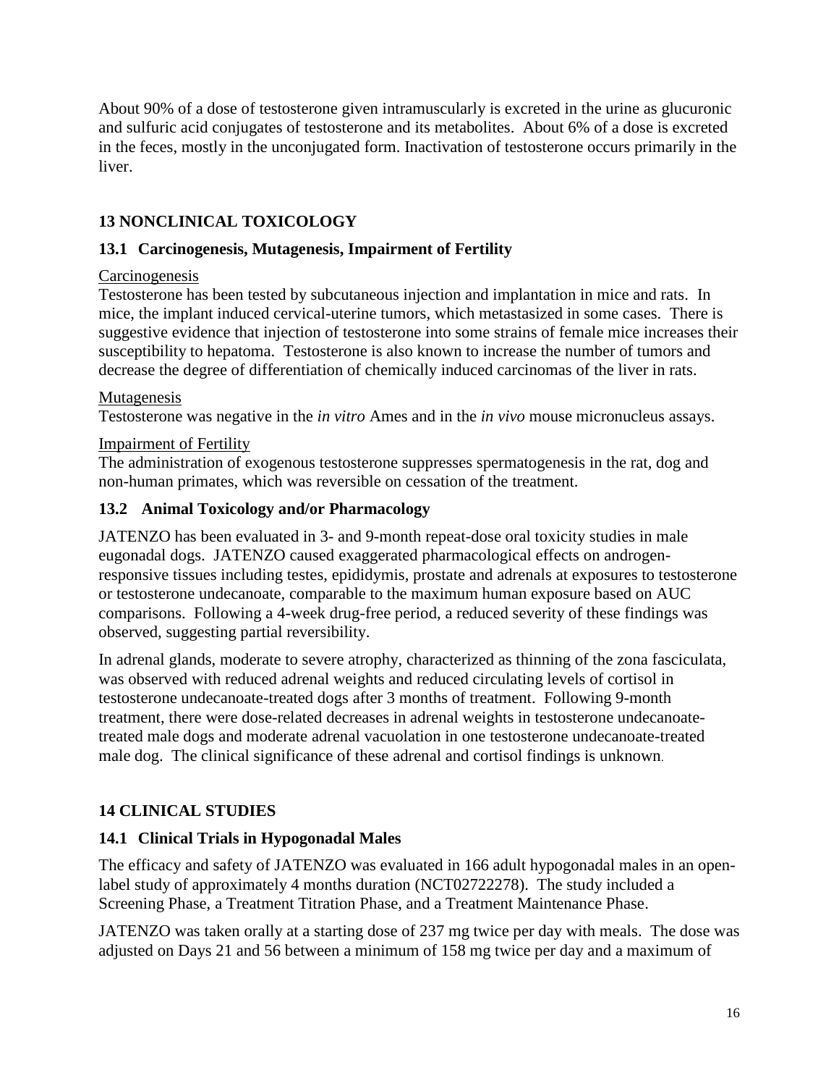About 90% of a dose of testosterone given intramuscularly is excreted in the urine as glucuronic and sulfuric acid conjugates of testosterone and its metabolites. About 6% of a dose is excreted in the feces, mostly in the unconjugated form. Inactivation of testosterone occurs primarily in the liver.

# **13 NONCLINICAL TOXICOLOGY**

# **13.1 Carcinogenesis, Mutagenesis, Impairment of Fertility**

## **Carcinogenesis**

Testosterone has been tested by subcutaneous injection and implantation in mice and rats. In mice, the implant induced cervical-uterine tumors, which metastasized in some cases. There is suggestive evidence that injection of testosterone into some strains of female mice increases their susceptibility to hepatoma. Testosterone is also known to increase the number of tumors and decrease the degree of differentiation of chemically induced carcinomas of the liver in rats.

## Mutagenesis

Testosterone was negative in the *in vitro* Ames and in the *in vivo* mouse micronucleus assays.

# Impairment of Fertility

The administration of exogenous testosterone suppresses spermatogenesis in the rat, dog and non-human primates, which was reversible on cessation of the treatment.

## **13.2 Animal Toxicology and/or Pharmacology**

JATENZO has been evaluated in 3- and 9-month repeat-dose oral toxicity studies in male eugonadal dogs. JATENZO caused exaggerated pharmacological effects on androgenresponsive tissues including testes, epididymis, prostate and adrenals at exposures to testosterone or testosterone undecanoate, comparable to the maximum human exposure based on AUC comparisons. Following a 4-week drug-free period, a reduced severity of these findings was observed, suggesting partial reversibility.

In adrenal glands, moderate to severe atrophy, characterized as thinning of the zona fasciculata, was observed with reduced adrenal weights and reduced circulating levels of cortisol in testosterone undecanoate-treated dogs after 3 months of treatment. Following 9-month treatment, there were dose-related decreases in adrenal weights in testosterone undecanoatetreated male dogs and moderate adrenal vacuolation in one testosterone undecanoate-treated male dog. The clinical significance of these adrenal and cortisol findings is unknown.

# **14 CLINICAL STUDIES**

# **14.1 Clinical Trials in Hypogonadal Males**

The efficacy and safety of JATENZO was evaluated in 166 adult hypogonadal males in an openlabel study of approximately 4 months duration (NCT02722278). The study included a Screening Phase, a Treatment Titration Phase, and a Treatment Maintenance Phase.

JATENZO was taken orally at a starting dose of 237 mg twice per day with meals. The dose was adjusted on Days 21 and 56 between a minimum of 158 mg twice per day and a maximum of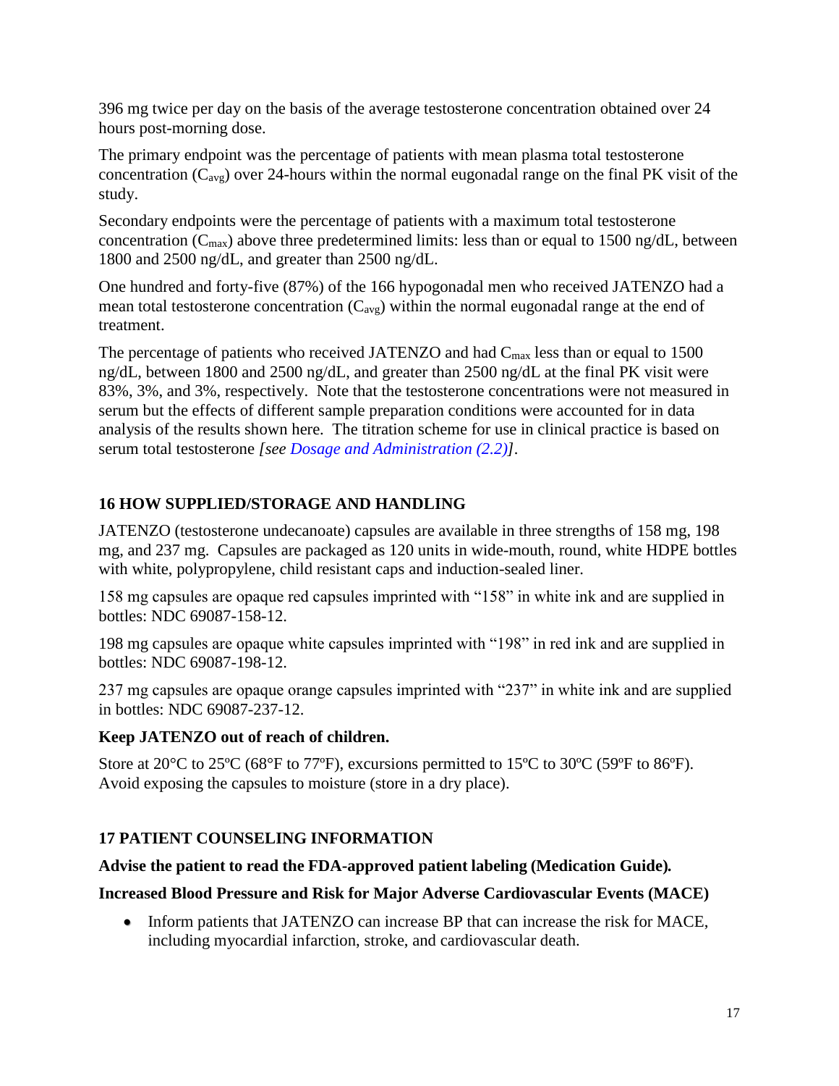396 mg twice per day on the basis of the average testosterone concentration obtained over 24 hours post-morning dose.

The primary endpoint was the percentage of patients with mean plasma total testosterone concentration  $(C_{\text{avg}})$  over 24-hours within the normal eugonadal range on the final PK visit of the study.

Secondary endpoints were the percentage of patients with a maximum total testosterone concentration ( $C_{\text{max}}$ ) above three predetermined limits: less than or equal to 1500 ng/dL, between 1800 and 2500 ng/dL, and greater than 2500 ng/dL.

One hundred and forty-five (87%) of the 166 hypogonadal men who received JATENZO had a mean total testosterone concentration  $(C_{avg})$  within the normal eugonadal range at the end of treatment.

The percentage of patients who received JATENZO and had  $C_{\text{max}}$  less than or equal to 1500 ng/dL, between 1800 and 2500 ng/dL, and greater than 2500 ng/dL at the final PK visit were 83%, 3%, and 3%, respectively. Note that the testosterone concentrations were not measured in serum but the effects of different sample preparation conditions were accounted for in data analysis of the results shown here. The titration scheme for use in clinical practice is based on serum total testosterone *[see [Dosage and Administration \(2.2\)\]](#page-3-0).*

# **16 HOW SUPPLIED/STORAGE AND HANDLING**

JATENZO (testosterone undecanoate) capsules are available in three strengths of 158 mg, 198 mg, and 237 mg. Capsules are packaged as 120 units in wide-mouth, round, white HDPE bottles with white, polypropylene, child resistant caps and induction-sealed liner.

158 mg capsules are opaque red capsules imprinted with "158" in white ink and are supplied in bottles: NDC 69087-158-12.

198 mg capsules are opaque white capsules imprinted with "198" in red ink and are supplied in bottles: NDC 69087-198-12.

237 mg capsules are opaque orange capsules imprinted with "237" in white ink and are supplied in bottles: NDC 69087-237-12.

# **Keep JATENZO out of reach of children.**

Store at 20 $^{\circ}$ C to 25 $^{\circ}$ C (68 $^{\circ}$ F to 77 $^{\circ}$ F), excursions permitted to 15 $^{\circ}$ C to 30 $^{\circ}$ C (59 $^{\circ}$ F to 86 $^{\circ}$ F). Avoid exposing the capsules to moisture (store in a dry place).

# **17 PATIENT COUNSELING INFORMATION**

# **Advise the patient to read the FDA-approved patient labeling (Medication Guide).**

# **Increased Blood Pressure and Risk for Major Adverse Cardiovascular Events (MACE)**

 Inform patients that JATENZO can increase BP that can increase the risk for MACE, including myocardial infarction, stroke, and cardiovascular death.